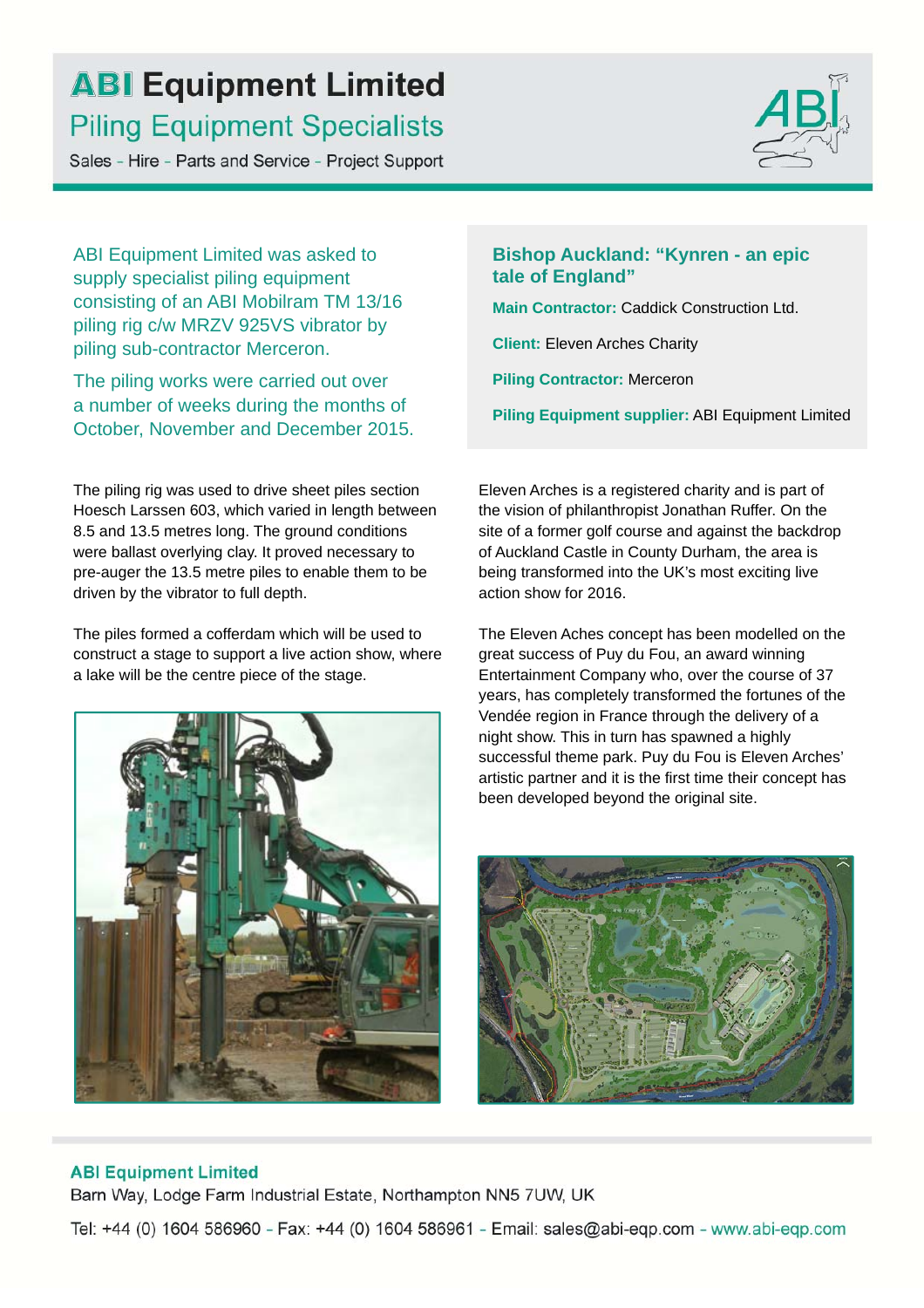## **ABI Equipment Limited Piling Equipment Specialists**

Sales - Hire - Parts and Service - Project Support



ABI Equipment Limited was asked to supply specialist piling equipment consisting of an ABI Mobilram TM 13/16 piling rig c/w MRZV 925VS vibrator by piling sub-contractor Merceron.

The piling works were carried out over a number of weeks during the months of October, November and December 2015.

The piling rig was used to drive sheet piles section Hoesch Larssen 603, which varied in length between 8.5 and 13.5 metres long. The ground conditions were ballast overlying clay. It proved necessary to pre-auger the 13.5 metre piles to enable them to be driven by the vibrator to full depth.

The piles formed a cofferdam which will be used to construct a stage to support a live action show, where a lake will be the centre piece of the stage.



**Bishop Auckland: "Kynren - an epic tale of England"**

**Main Contractor:** Caddick Construction Ltd.

**Client:** Eleven Arches Charity

**Piling Contractor:** Merceron

**Piling Equipment supplier:** ABI Equipment Limited

Eleven Arches is a registered charity and is part of the vision of philanthropist Jonathan Ruffer. On the site of a former golf course and against the backdrop of Auckland Castle in County Durham, the area is being transformed into the UK's most exciting live action show for 2016.

The Eleven Aches concept has been modelled on the great success of Puy du Fou, an award winning Entertainment Company who, over the course of 37 years, has completely transformed the fortunes of the Vendée region in France through the delivery of a night show. This in turn has spawned a highly successful theme park. Puy du Fou is Eleven Arches' artistic partner and it is the first time their concept has been developed beyond the original site.



### **ABI Equipment Limited**

Barn Way, Lodge Farm Industrial Estate, Northampton NN5 7UW, UK

Tel: +44 (0) 1604 586960 - Fax: +44 (0) 1604 586961 - Email: sales@abi-eqp.com - www.abi-eqp.com